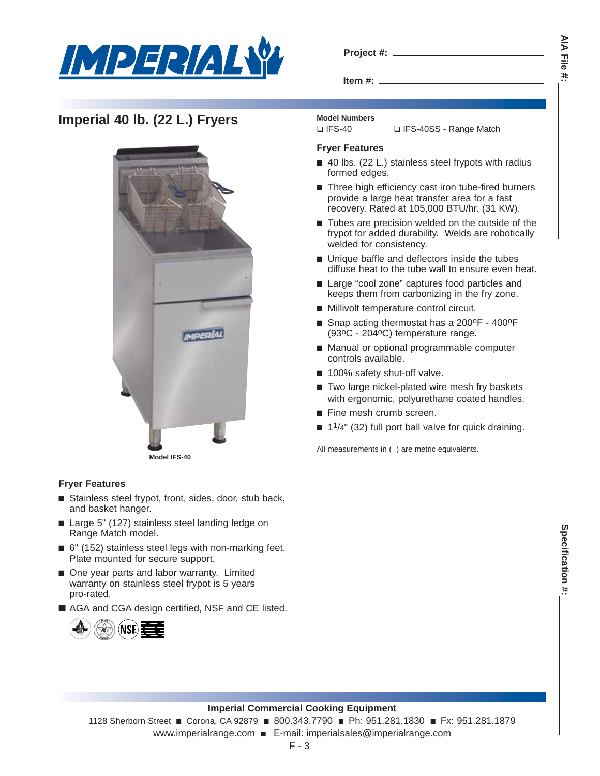

| Project #: |  |
|------------|--|
|            |  |

**Item #:**

# **Imperial 40 lb. (22 L.) Fryers** Model Numbers



### **Fryer Features**

- Stainless steel frypot, front, sides, door, stub back, and basket hanger.
- Large 5" (127) stainless steel landing ledge on Range Match model.
- 6" (152) stainless steel legs with non-marking feet. Plate mounted for secure support.
- One year parts and labor warranty. Limited warranty on stainless steel frypot is 5 years pro-rated.
- AGA and CGA design certified, NSF and CE listed.



### **Fryer Features**

■ 40 lbs. (22 L.) stainless steel frypots with radius formed edges.

❏ IFS-40 ❏ IFS-40SS - Range Match

- Three high efficiency cast iron tube-fired burners provide a large heat transfer area for a fast recovery. Rated at 105,000 BTU/hr. (31 KW).
- Tubes are precision welded on the outside of the frypot for added durability. Welds are robotically welded for consistency.
- Unique baffle and deflectors inside the tubes diffuse heat to the tube wall to ensure even heat.
- Large "cool zone" captures food particles and keeps them from carbonizing in the fry zone.
- Millivolt temperature control circuit.
- Snap acting thermostat has a 200°F 400°F (93oC - 204oC) temperature range.
- Manual or optional programmable computer controls available.
- 100% safety shut-off valve.
- Two large nickel-plated wire mesh fry baskets with ergonomic, polyurethane coated handles.
- Fine mesh crumb screen.
- $\blacksquare$  1<sup>1</sup>/4" (32) full port ball valve for quick draining.

All measurements in ( ) are metric equivalents.

### **Imperial Commercial Cooking Equipment**

1128 Sherborn Street ■ Corona, CA 92879 ■ 800.343.7790 ■ Ph: 951.281.1830 ■ Fx: 951.281.1879 www.imperialrange.com ■ E-mail: imperialsales@imperialrange.com